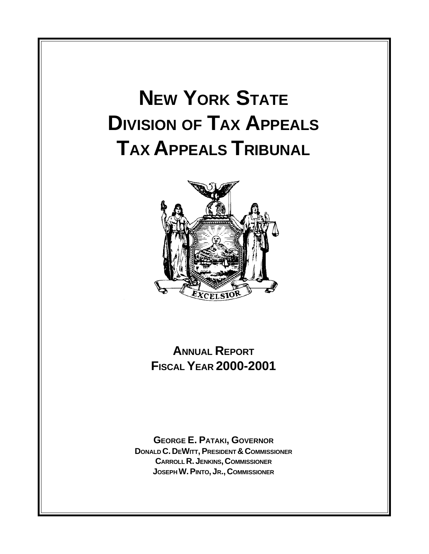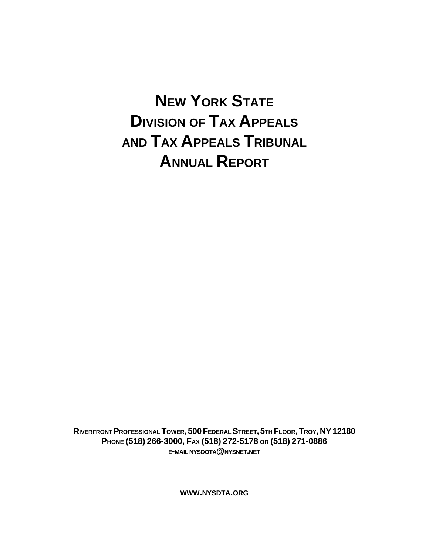# **NEW YORK STATE DIVISION OF TAX APPEALS AND TAX APPEALS TRIBUNAL ANNUAL REPORT**

**RIVERFRONT PROFESSIONAL TOWER, 500 FEDERAL STREET, 5TH FLOOR, TROY, NY 12180 PHONE (518) 266-3000, FAX (518) 272-5178 OR (518) 271-0886 E-MAIL NYSDOTA@NYSNET.NET**

**WWW.NYSDTA.ORG**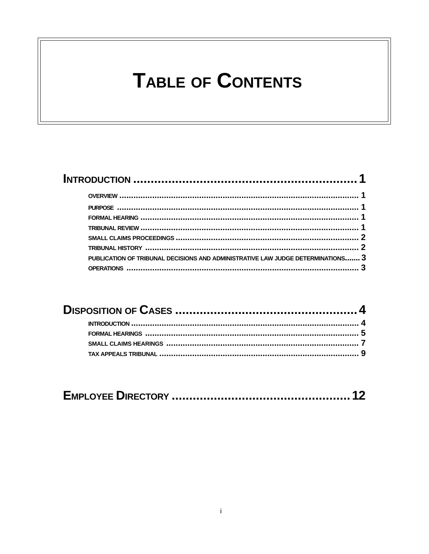# **TABLE OF CONTENTS**

| PUBLICATION OF TRIBUNAL DECISIONS AND ADMINISTRATIVE LAW JUDGE DETERMINATIONS 3 |  |
|---------------------------------------------------------------------------------|--|
|                                                                                 |  |
|                                                                                 |  |

|--|--|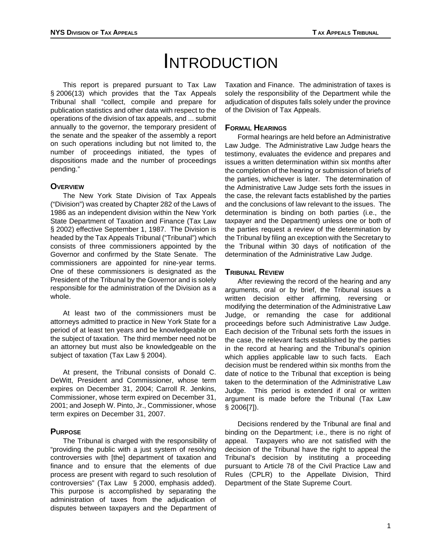# **INTRODUCTION**

This report is prepared pursuant to Tax Law § 2006(13) which provides that the Tax Appeals Tribunal shall "collect, compile and prepare for publication statistics and other data with respect to the operations of the division of tax appeals, and ... submit annually to the governor, the temporary president of the senate and the speaker of the assembly a report on such operations including but not limited to, the number of proceedings initiated, the types of dispositions made and the number of proceedings pending."

# **OVERVIEW**

The New York State Division of Tax Appeals ("Division") was created by Chapter 282 of the Laws of 1986 as an independent division within the New York State Department of Taxation and Finance (Tax Law § 2002) effective September 1, 1987. The Division is headed by the Tax Appeals Tribunal ("Tribunal") which consists of three commissioners appointed by the Governor and confirmed by the State Senate. The commissioners are appointed for nine-year terms. One of these commissioners is designated as the President of the Tribunal by the Governor and is solely responsible for the administration of the Division as a whole.

At least two of the commissioners must be attorneys admitted to practice in New York State for a period of at least ten years and be knowledgeable on the subject of taxation. The third member need not be an attorney but must also be knowledgeable on the subject of taxation (Tax Law § 2004).

At present, the Tribunal consists of Donald C. DeWitt, President and Commissioner, whose term expires on December 31, 2004; Carroll R. Jenkins, Commissioner, whose term expired on December 31, 2001; and Joseph W. Pinto, Jr., Commissioner, whose term expires on December 31, 2007.

# **PURPOSE**

The Tribunal is charged with the responsibility of "providing the public with a just system of resolving controversies with [the] department of taxation and finance and to ensure that the elements of due process are present with regard to such resolution of controversies" (Tax Law § 2000, emphasis added). This purpose is accomplished by separating the administration of taxes from the adjudication of disputes between taxpayers and the Department of Taxation and Finance. The administration of taxes is solely the responsibility of the Department while the adjudication of disputes falls solely under the province of the Division of Tax Appeals.

# **FORMAL HEARINGS**

Formal hearings are held before an Administrative Law Judge. The Administrative Law Judge hears the testimony, evaluates the evidence and prepares and issues a written determination within six months after the completion of the hearing or submission of briefs of the parties, whichever is later. The determination of the Administrative Law Judge sets forth the issues in the case, the relevant facts established by the parties and the conclusions of law relevant to the issues. The determination is binding on both parties (i.e., the taxpayer and the Department) unless one or both of the parties request a review of the determination by the Tribunal by filing an exception with the Secretary to the Tribunal within 30 days of notification of the determination of the Administrative Law Judge.

# **TRIBUNAL REVIEW**

After reviewing the record of the hearing and any arguments, oral or by brief, the Tribunal issues a written decision either affirming, reversing or modifying the determination of the Administrative Law Judge, or remanding the case for additional proceedings before such Administrative Law Judge. Each decision of the Tribunal sets forth the issues in the case, the relevant facts established by the parties in the record at hearing and the Tribunal's opinion which applies applicable law to such facts. Each decision must be rendered within six months from the date of notice to the Tribunal that exception is being taken to the determination of the Administrative Law Judge. This period is extended if oral or written argument is made before the Tribunal (Tax Law § 2006[7]).

Decisions rendered by the Tribunal are final and binding on the Department; i.e., there is no right of appeal. Taxpayers who are not satisfied with the decision of the Tribunal have the right to appeal the Tribunal's decision by instituting a proceeding pursuant to Article 78 of the Civil Practice Law and Rules (CPLR) to the Appellate Division, Third Department of the State Supreme Court.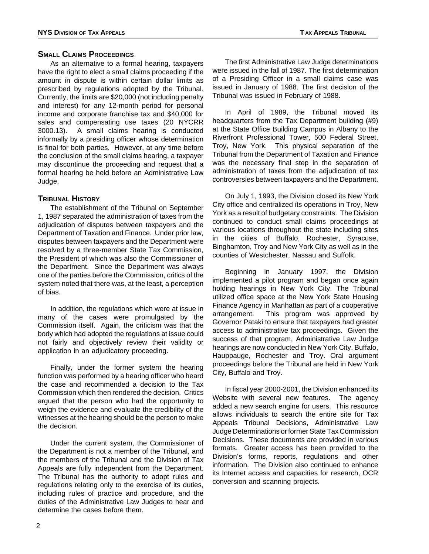# **SMALL CLAIMS PROCEEDINGS**

As an alternative to a formal hearing, taxpayers have the right to elect a small claims proceeding if the amount in dispute is within certain dollar limits as prescribed by regulations adopted by the Tribunal. Currently, the limits are \$20,000 (not including penalty and interest) for any 12-month period for personal income and corporate franchise tax and \$40,000 for sales and compensating use taxes (20 NYCRR 3000.13). A small claims hearing is conducted informally by a presiding officer whose determination is final for both parties. However, at any time before the conclusion of the small claims hearing, a taxpayer may discontinue the proceeding and request that a formal hearing be held before an Administrative Law Judge.

# **TRIBUNAL HISTORY**

The establishment of the Tribunal on September 1, 1987 separated the administration of taxes from the adjudication of disputes between taxpayers and the Department of Taxation and Finance. Under prior law, disputes between taxpayers and the Department were resolved by a three-member State Tax Commission, the President of which was also the Commissioner of the Department. Since the Department was always one of the parties before the Commission, critics of the system noted that there was, at the least, a perception of bias.

In addition, the regulations which were at issue in many of the cases were promulgated by the Commission itself. Again, the criticism was that the body which had adopted the regulations at issue could not fairly and objectively review their validity or application in an adjudicatory proceeding.

Finally, under the former system the hearing function was performed by a hearing officer who heard the case and recommended a decision to the Tax Commission which then rendered the decision. Critics argued that the person who had the opportunity to weigh the evidence and evaluate the credibility of the witnesses at the hearing should be the person to make the decision.

Under the current system, the Commissioner of the Department is not a member of the Tribunal, and the members of the Tribunal and the Division of Tax Appeals are fully independent from the Department. The Tribunal has the authority to adopt rules and regulations relating only to the exercise of its duties, including rules of practice and procedure, and the duties of the Administrative Law Judges to hear and determine the cases before them.

The first Administrative Law Judge determinations were issued in the fall of 1987. The first determination of a Presiding Officer in a small claims case was issued in January of 1988. The first decision of the Tribunal was issued in February of 1988.

In April of 1989, the Tribunal moved its headquarters from the Tax Department building (#9) at the State Office Building Campus in Albany to the Riverfront Professional Tower, 500 Federal Street, Troy, New York. This physical separation of the Tribunal from the Department of Taxation and Finance was the necessary final step in the separation of administration of taxes from the adjudication of tax controversies between taxpayers and the Department.

On July 1, 1993, the Division closed its New York City office and centralized its operations in Troy, New York as a result of budgetary constraints. The Division continued to conduct small claims proceedings at various locations throughout the state including sites in the cities of Buffalo, Rochester, Syracuse, Binghamton, Troy and New York City as well as in the counties of Westchester, Nassau and Suffolk.

Beginning in January 1997, the Division implemented a pilot program and began once again holding hearings in New York City. The Tribunal utilized office space at the New York State Housing Finance Agency in Manhattan as part of a cooperative arrangement. This program was approved by Governor Pataki to ensure that taxpayers had greater access to administrative tax proceedings. Given the success of that program, Administrative Law Judge hearings are now conducted in New York City, Buffalo, Hauppauge, Rochester and Troy. Oral argument proceedings before the Tribunal are held in New York City, Buffalo and Troy.

In fiscal year 2000-2001, the Division enhanced its Website with several new features. The agency added a new search engine for users. This resource allows individuals to search the entire site for Tax Appeals Tribunal Decisions, Administrative Law Judge Determinations or former State Tax Commission Decisions. These documents are provided in various formats. Greater access has been provided to the Division's forms, reports, regulations and other information. The Division also continued to enhance its Internet access and capacities for research, OCR conversion and scanning projects.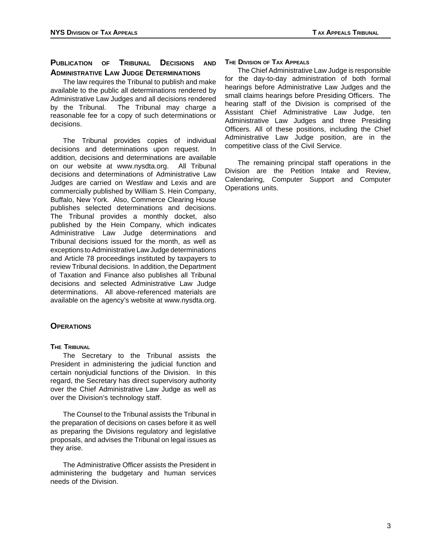# **PUBLICATION OF TRIBUNAL DECISIONS AND ADMINISTRATIVE LAW JUDGE DETERMINATIONS**

The law requires the Tribunal to publish and make available to the public all determinations rendered by Administrative Law Judges and all decisions rendered by the Tribunal. The Tribunal may charge a reasonable fee for a copy of such determinations or decisions.

The Tribunal provides copies of individual decisions and determinations upon request. In addition, decisions and determinations are available on our website at www.nysdta.org. All Tribunal decisions and determinations of Administrative Law Judges are carried on Westlaw and Lexis and are commercially published by William S. Hein Company, Buffalo, New York. Also, Commerce Clearing House publishes selected determinations and decisions. The Tribunal provides a monthly docket, also published by the Hein Company, which indicates Administrative Law Judge determinations and Tribunal decisions issued for the month, as well as exceptions to Administrative Law Judge determinations and Article 78 proceedings instituted by taxpayers to review Tribunal decisions. In addition, the Department of Taxation and Finance also publishes all Tribunal decisions and selected Administrative Law Judge determinations. All above-referenced materials are available on the agency's website at www.nysdta.org.

# **OPERATIONS**

#### **THE TRIBUNAL**

The Secretary to the Tribunal assists the President in administering the judicial function and certain nonjudicial functions of the Division. In this regard, the Secretary has direct supervisory authority over the Chief Administrative Law Judge as well as over the Division's technology staff.

The Counsel to the Tribunal assists the Tribunal in the preparation of decisions on cases before it as well as preparing the Divisions regulatory and legislative proposals, and advises the Tribunal on legal issues as they arise.

The Administrative Officer assists the President in administering the budgetary and human services needs of the Division.

#### **THE DIVISION OF TAX APPEALS**

The Chief Administrative Law Judge is responsible for the day-to-day administration of both formal hearings before Administrative Law Judges and the small claims hearings before Presiding Officers. The hearing staff of the Division is comprised of the Assistant Chief Administrative Law Judge, ten Administrative Law Judges and three Presiding Officers. All of these positions, including the Chief Administrative Law Judge position, are in the competitive class of the Civil Service.

The remaining principal staff operations in the Division are the Petition Intake and Review, Calendaring, Computer Support and Computer Operations units.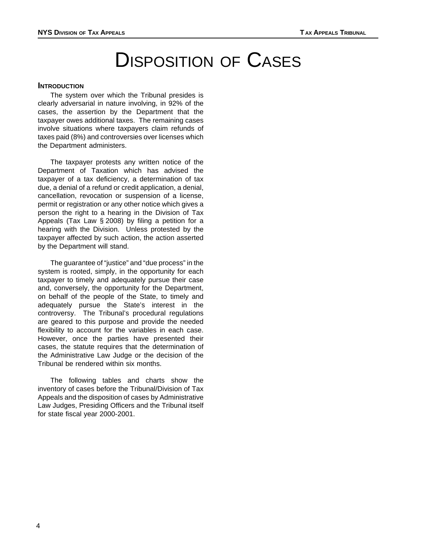# DISPOSITION OF CASES

### **INTRODUCTION**

The system over which the Tribunal presides is clearly adversarial in nature involving, in 92% of the cases, the assertion by the Department that the taxpayer owes additional taxes. The remaining cases involve situations where taxpayers claim refunds of taxes paid (8%) and controversies over licenses which the Department administers.

The taxpayer protests any written notice of the Department of Taxation which has advised the taxpayer of a tax deficiency, a determination of tax due, a denial of a refund or credit application, a denial, cancellation, revocation or suspension of a license, permit or registration or any other notice which gives a person the right to a hearing in the Division of Tax Appeals (Tax Law § 2008) by filing a petition for a hearing with the Division. Unless protested by the taxpayer affected by such action, the action asserted by the Department will stand.

The guarantee of "justice" and "due process" in the system is rooted, simply, in the opportunity for each taxpayer to timely and adequately pursue their case and, conversely, the opportunity for the Department, on behalf of the people of the State, to timely and adequately pursue the State's interest in the controversy. The Tribunal's procedural regulations are geared to this purpose and provide the needed flexibility to account for the variables in each case. However, once the parties have presented their cases, the statute requires that the determination of the Administrative Law Judge or the decision of the Tribunal be rendered within six months.

The following tables and charts show the inventory of cases before the Tribunal/Division of Tax Appeals and the disposition of cases by Administrative Law Judges, Presiding Officers and the Tribunal itself for state fiscal year 2000-2001.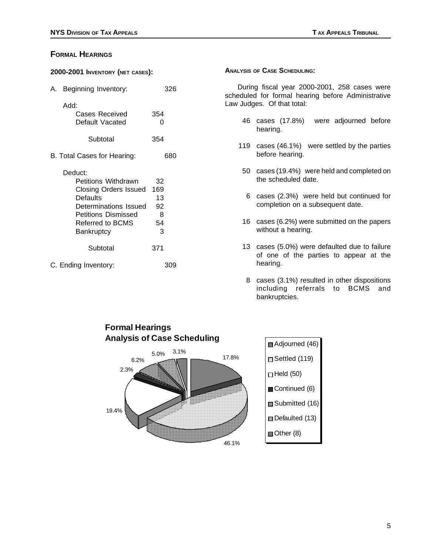# **FORMAL HEARINGS**

| 2000-2001 INVENTORY (NET CASES): |  |  |
|----------------------------------|--|--|
|                                  |  |  |

| A. Beginning Inventory:                   | 326      |     | During fiscal y<br>scheduled for forn<br>Law Judges. Of th |
|-------------------------------------------|----------|-----|------------------------------------------------------------|
| Add:<br>Cases Received<br>Default Vacated | 354<br>0 | 46  | cases (                                                    |
| Subtotal                                  | 354      |     | hearing.                                                   |
|                                           |          | 119 | cases (4                                                   |
| B. Total Cases for Hearing:               | 680      |     | before he                                                  |
| Deduct:                                   |          | 50  | cases (19                                                  |
| Petitions Withdrawn                       | 32       |     | the sche                                                   |
| <b>Closing Orders Issued</b>              | 169      |     |                                                            |
| <b>Defaults</b>                           | 13       | 6   | cases (2                                                   |
| Determinations Issued                     | 92       |     | completio                                                  |
| <b>Petitions Dismissed</b>                | 8        |     |                                                            |
| Referred to BCMS                          | 54       | 16  | cases (6.                                                  |
| <b>Bankruptcy</b>                         | 3        |     | without a                                                  |
| Subtotal                                  | 371      | 13  | cases (5<br>of one                                         |
| C. Ending Inventory:                      | 309      |     | hearing.                                                   |

#### **ANALYSIS OF CASE SCHEDULING:**

During fiscal year 2000-2001, 258 cases were scheduled for formal hearing before Administrative Law Judges. Of that total:

- 46 cases (17.8%) were adjourned before hearing.
- 119 cases (46.1%) were settled by the parties before hearing.
- 50 cases (19.4%) were held and completed on the scheduled date.
- 6 cases  $(2.3%)$  were held but continued for completion on a subsequent date.
- 16 cases (6.2%) were submitted on the papers without a hearing.
- 13 cases (5.0%) were defaulted due to failure of one of the parties to appear at the
- 8 cases (3.1%) resulted in other dispositions including referrals to BCMS and bankruptcies.

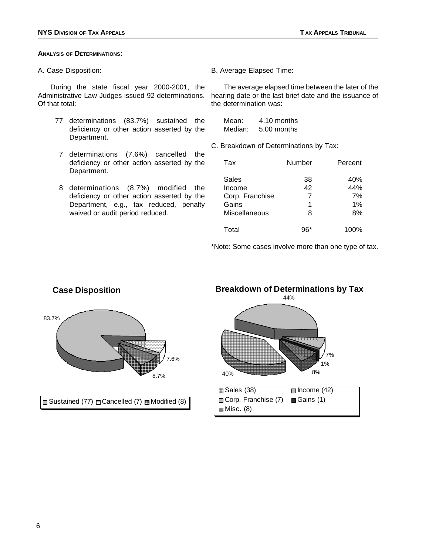#### **ANALYSIS OF DETERMINATIONS:**

A. Case Disposition:

During the state fiscal year 2000-2001, the Administrative Law Judges issued 92 determinations. Of that total:

- 77 determinations (83.7%) sustained the deficiency or other action asserted by the Department.
- 7 determinations (7.6%) cancelled the deficiency or other action asserted by the Department.
- 8 determinations (8.7%) modified the deficiency or other action asserted by the Department, e.g., tax reduced, penalty waived or audit period reduced.

B. Average Elapsed Time:

The average elapsed time between the later of the hearing date or the last brief date and the issuance of the determination was:

| Mean:   | 4.10 months |
|---------|-------------|
| Median: | 5.00 months |

C. Breakdown of Determinations by Tax:

| Tax                                                          | Number                  | Percent                      |
|--------------------------------------------------------------|-------------------------|------------------------------|
| Sales<br>Income<br>Corp. Franchise<br>Gains<br>Miscellaneous | 38<br>42<br>7<br>1<br>8 | 40%<br>44%<br>7%<br>1%<br>8% |
| Total                                                        | 96*                     | 100%                         |

\*Note: Some cases involve more than one type of tax.



# **Breakdown of Determinations by Tax**  44% 7% 40% 1% 8%  $\Box$  Sales (38)  $\Box$  Income (42) Corp. Franchise (7) Gains (1)  $Misc. (8)$

6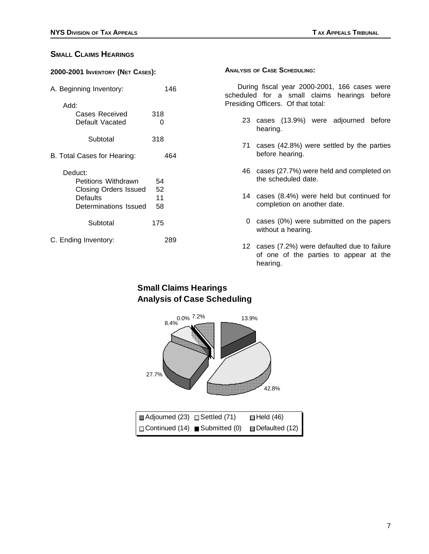# **SMALL CLAIMS HEARINGS**

| 2000-2001 INVENTORY (NET CASES): |  |  |
|----------------------------------|--|--|
|                                  |  |  |

| A. Beginning Inventory:                                                                      | 146                  |
|----------------------------------------------------------------------------------------------|----------------------|
| Add:<br>Cases Received<br>Default Vacated                                                    | 318<br>O             |
| Subtotal                                                                                     | 318                  |
| B. Total Cases for Hearing:                                                                  | 464                  |
| Deduct:<br>Petitions Withdrawn<br>Closing Orders Issued<br>Defaults<br>Determinations Issued | 54<br>52<br>11<br>58 |
| Subtotal                                                                                     | 175                  |
| C. Ending Inventory:                                                                         | 289                  |

#### **ANALYSIS OF CASE SCHEDULING:**

During fiscal year 2000-2001, 166 cases were scheduled for a small claims hearings before Presiding Officers. Of that total:

- 23 cases (13.9%) were adjourned before hearing.
- 71 cases (42.8%) were settled by the parties before hearing.
- 46 cases (27.7%) were held and completed on the scheduled date.
- 14 cases (8.4%) were held but continued for completion on another date.
- 0 cases (0%) were submitted on the papers without a hearing.
- 12 cases (7.2%) were defaulted due to failure of one of the parties to appear at the hearing.

# **Small Claims Hearings Analysis of Case Scheduling**

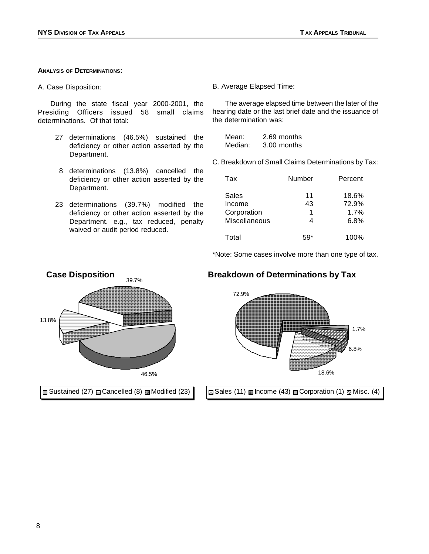#### **ANALYSIS OF DETERMINATIONS:**

A. Case Disposition:

During the state fiscal year 2000-2001, the Presiding Officers issued 58 small claims determinations. Of that total:

- 27 determinations (46.5%) sustained the deficiency or other action asserted by the Department.
- 8 determinations (13.8%) cancelled the deficiency or other action asserted by the Department.
- 23 determinations (39.7%) modified the deficiency or other action asserted by the Department. e.g., tax reduced, penalty waived or audit period reduced.

B. Average Elapsed Time:

The average elapsed time between the later of the hearing date or the last brief date and the issuance of the determination was:

| Mean:   | 2.69 months |
|---------|-------------|
| Median: | 3.00 months |

C. Breakdown of Small Claims Determinations by Tax:

| Tax                                             | Number             | Percent                        |  |
|-------------------------------------------------|--------------------|--------------------------------|--|
| Sales<br>Income<br>Corporation<br>Miscellaneous | 11<br>43<br>1<br>4 | 18.6%<br>72.9%<br>1.7%<br>6.8% |  |
| Total                                           |                    | 100%                           |  |

\*Note: Some cases involve more than one type of tax.



![](_page_10_Figure_16.jpeg)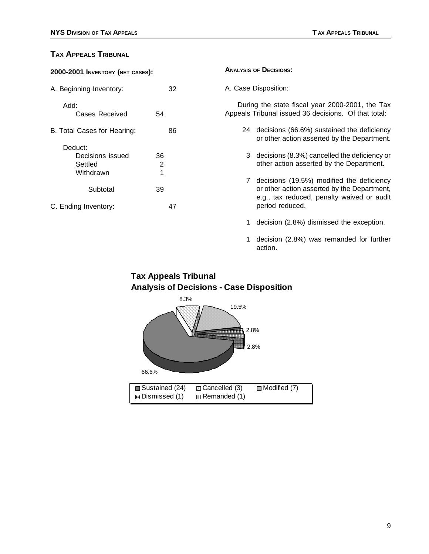# **TAX APPEALS TRIBUNAL**

| 2000-2001 INVENTORY (NET CASES): |    |                      | <b>ANALYSIS OF DECISIONS:</b> |                                                                                                         |  |
|----------------------------------|----|----------------------|-------------------------------|---------------------------------------------------------------------------------------------------------|--|
| 32<br>A. Beginning Inventory:    |    | A. Case Disposition: |                               |                                                                                                         |  |
| Add:<br>Cases Received           | 54 |                      |                               | During the state fiscal year 2000-2001, the Tax<br>Appeals Tribunal issued 36 decisions. Of that total: |  |
| B. Total Cases for Hearing:      |    | 86                   |                               | 24 decisions (66.6%) sustained the deficiency<br>or other action asserted by the Department.            |  |
| Deduct:                          |    |                      |                               |                                                                                                         |  |
| Decisions issued                 | 36 |                      |                               | 3 decisions (8.3%) cancelled the deficiency or                                                          |  |
| Settled                          | 2  |                      |                               | other action asserted by the Department.                                                                |  |
| Withdrawn                        | 1  |                      |                               |                                                                                                         |  |
|                                  |    |                      | 7                             | decisions (19.5%) modified the deficiency                                                               |  |
| Subtotal                         | 39 |                      |                               | or other action asserted by the Department,<br>e.g., tax reduced, penalty waived or audit               |  |
| C. Ending Inventory:             |    | 47                   |                               | period reduced.                                                                                         |  |
|                                  |    |                      |                               | decision (2.8%) dismissed the exception.                                                                |  |

1 decision (2.8%) was remanded for further action.

# **Tax Appeals Tribunal Analysis of Decisions - Case Disposition**

![](_page_11_Figure_6.jpeg)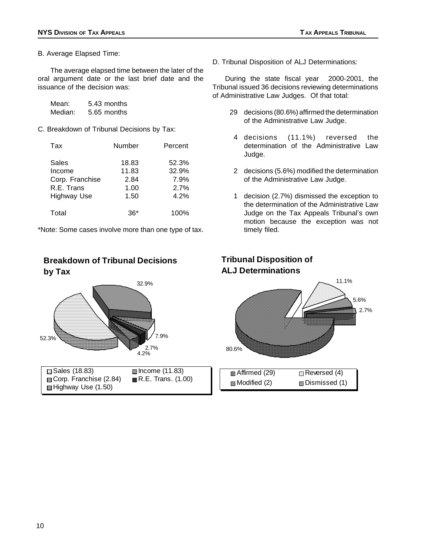B. Average Elapsed Time:

The average elapsed time between the later of the oral argument date or the last brief date and the issuance of the decision was:

| Mean:   | 5.43 months |
|---------|-------------|
| Median: | 5.65 months |

C. Breakdown of Tribunal Decisions by Tax:

| Tax                | Number | Percent |
|--------------------|--------|---------|
| Sales              | 18.83  | 52.3%   |
| Income             | 11.83  | 32.9%   |
| Corp. Franchise    | 2.84   | 7.9%    |
| R.E. Trans         | 1.00   | 2.7%    |
| <b>Highway Use</b> | 1.50   | 4.2%    |
| Total              | 36*    | 100%    |

\*Note: Some cases involve more than one type of tax.

# **Breakdown of Tribunal Decisions by Tax**

![](_page_12_Figure_9.jpeg)

D. Tribunal Disposition of ALJ Determinations:

During the state fiscal year 2000-2001, the Tribunal issued 36 decisions reviewing determinations of Administrative Law Judges. Of that total:

- 29 decisions (80.6%) affirmed the determination of the Administrative Law Judge.
- 4 decisions (11.1%) reversed the determination of the Administrative Law Judge.
- 2 decisions (5.6%) modified the determination of the Administrative Law Judge.
- 1 decision (2.7%) dismissed the exception to the determination of the Administrative Law Judge on the Tax Appeals Tribunal's own motion because the exception was not timely filed.

![](_page_12_Figure_16.jpeg)

![](_page_12_Figure_17.jpeg)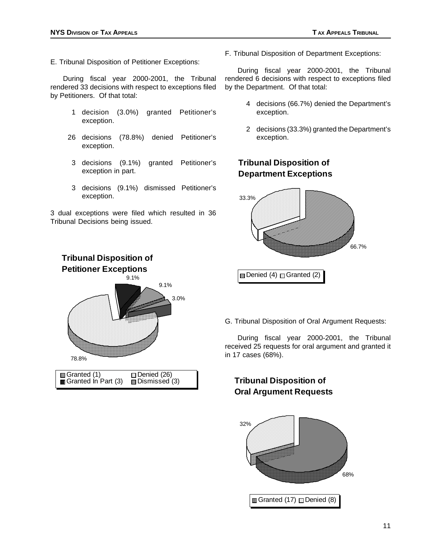E. Tribunal Disposition of Petitioner Exceptions:

During fiscal year 2000-2001, the Tribunal rendered 33 decisions with respect to exceptions filed by Petitioners. Of that total:

- 1 decision (3.0%) granted Petitioner's exception.
- 26 decisions (78.8%) denied Petitioner's exception.
- 3 decisions (9.1%) granted Petitioner's exception in part.
- 3 decisions (9.1%) dismissed Petitioner's exception.

3 dual exceptions were filed which resulted in 36 Tribunal Decisions being issued.

F. Tribunal Disposition of Department Exceptions:

During fiscal year 2000-2001, the Tribunal rendered 6 decisions with respect to exceptions filed by the Department. Of that total:

- 4 decisions (66.7%) denied the Department's exception.
- 2 decisions (33.3%) granted the Department's exception.

**Tribunal Disposition of Department Exceptions** 

![](_page_13_Figure_14.jpeg)

**Petitioner Exceptions**  9.1% 78.8% 9.1% 3.0% **Granted (1) Example Denied (26)**<br>Granted In Part (3) **E** Dismissed (3) Granted  $\ln$  Part (3)

**Tribunal Disposition of** 

G. Tribunal Disposition of Oral Argument Requests:

During fiscal year 2000-2001, the Tribunal received 25 requests for oral argument and granted it in 17 cases (68%).

# **Tribunal Disposition of Oral Argument Requests**

![](_page_13_Figure_19.jpeg)